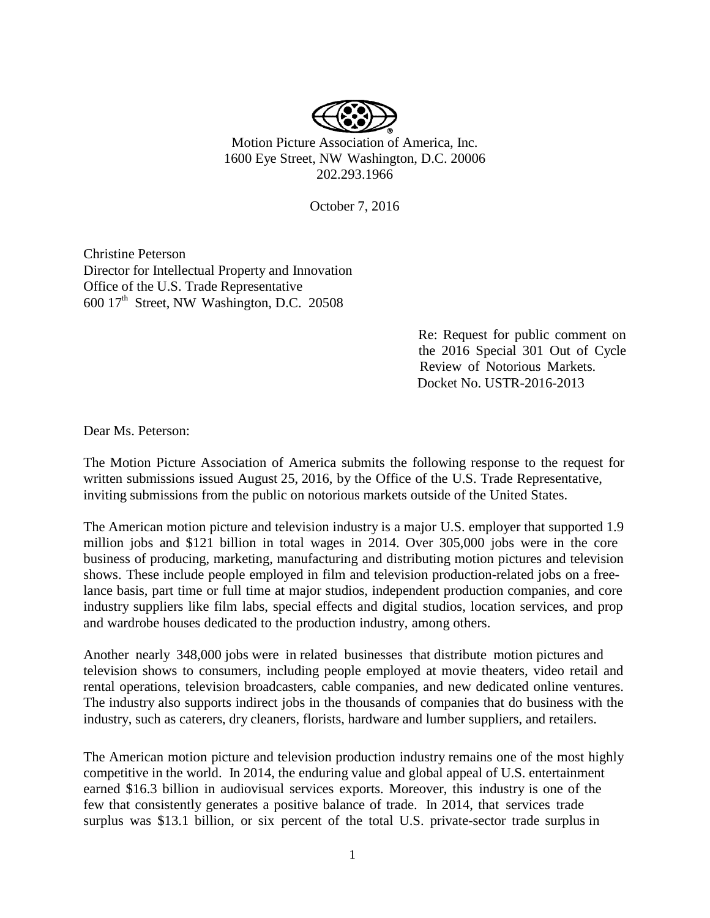

Motion Picture Association of America, Inc. 1600 Eye Street, NW Washington, D.C. 20006 202.293.1966

October 7, 2016

Christine Peterson Director for Intellectual Property and Innovation Office of the U.S. Trade Representative  $600$  17<sup>th</sup> Street, NW Washington, D.C. 20508

> Re: Request for public comment on the 2016 Special 301 Out of Cycle Review of Notorious Markets. Docket No. USTR-2016-2013

Dear Ms. Peterson:

The Motion Picture Association of America submits the following response to the request for written submissions issued August 25, 2016, by the Office of the U.S. Trade Representative, inviting submissions from the public on notorious markets outside of the United States.

The American motion picture and television industry is a major U.S. employer that supported 1.9 million jobs and \$121 billion in total wages in 2014. Over 305,000 jobs were in the core business of producing, marketing, manufacturing and distributing motion pictures and television shows. These include people employed in film and television production-related jobs on a freelance basis, part time or full time at major studios, independent production companies, and core industry suppliers like film labs, special effects and digital studios, location services, and prop and wardrobe houses dedicated to the production industry, among others.

Another nearly 348,000 jobs were in related businesses that distribute motion pictures and television shows to consumers, including people employed at movie theaters, video retail and rental operations, television broadcasters, cable companies, and new dedicated online ventures. The industry also supports indirect jobs in the thousands of companies that do business with the industry, such as caterers, dry cleaners, florists, hardware and lumber suppliers, and retailers.

The American motion picture and television production industry remains one of the most highly competitive in the world. In 2014, the enduring value and global appeal of U.S. entertainment earned \$16.3 billion in audiovisual services exports. Moreover, this industry is one of the few that consistently generates a positive balance of trade. In 2014, that services trade surplus was \$13.1 billion, or six percent of the total U.S. private-sector trade surplus in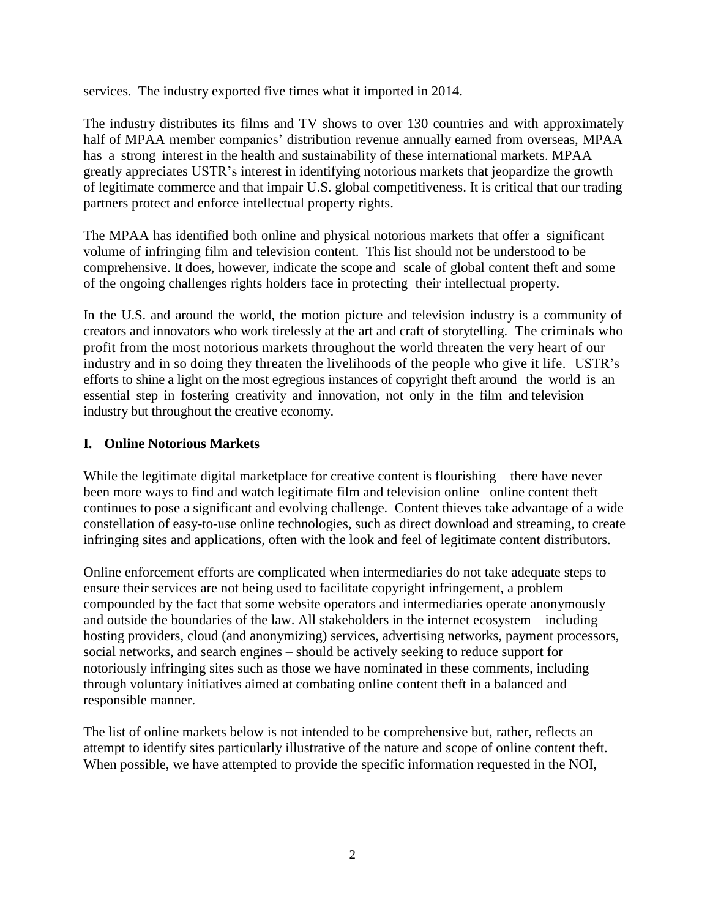services. The industry exported five times what it imported in 2014.

The industry distributes its films and TV shows to over 130 countries and with approximately half of MPAA member companies' distribution revenue annually earned from overseas, MPAA has a strong interest in the health and sustainability of these international markets. MPAA greatly appreciates USTR's interest in identifying notorious markets that jeopardize the growth of legitimate commerce and that impair U.S. global competitiveness. It is critical that our trading partners protect and enforce intellectual property rights.

The MPAA has identified both online and physical notorious markets that offer a significant volume of infringing film and television content. This list should not be understood to be comprehensive. It does, however, indicate the scope and scale of global content theft and some of the ongoing challenges rights holders face in protecting their intellectual property.

In the U.S. and around the world, the motion picture and television industry is a community of creators and innovators who work tirelessly at the art and craft of storytelling. The criminals who profit from the most notorious markets throughout the world threaten the very heart of our industry and in so doing they threaten the livelihoods of the people who give it life. USTR's efforts to shine a light on the most egregious instances of copyright theft around the world is an essential step in fostering creativity and innovation, not only in the film and television industry but throughout the creative economy.

## **I. Online Notorious Markets**

While the legitimate digital marketplace for creative content is flourishing – there have never been more ways to find and watch legitimate film and television online –online content theft continues to pose a significant and evolving challenge. Content thieves take advantage of a wide constellation of easy-to-use online technologies, such as direct download and streaming, to create infringing sites and applications, often with the look and feel of legitimate content distributors.

Online enforcement efforts are complicated when intermediaries do not take adequate steps to ensure their services are not being used to facilitate copyright infringement, a problem compounded by the fact that some website operators and intermediaries operate anonymously and outside the boundaries of the law. All stakeholders in the internet ecosystem – including hosting providers, cloud (and anonymizing) services, advertising networks, payment processors, social networks, and search engines – should be actively seeking to reduce support for notoriously infringing sites such as those we have nominated in these comments, including through voluntary initiatives aimed at combating online content theft in a balanced and responsible manner.

The list of online markets below is not intended to be comprehensive but, rather, reflects an attempt to identify sites particularly illustrative of the nature and scope of online content theft. When possible, we have attempted to provide the specific information requested in the NOI,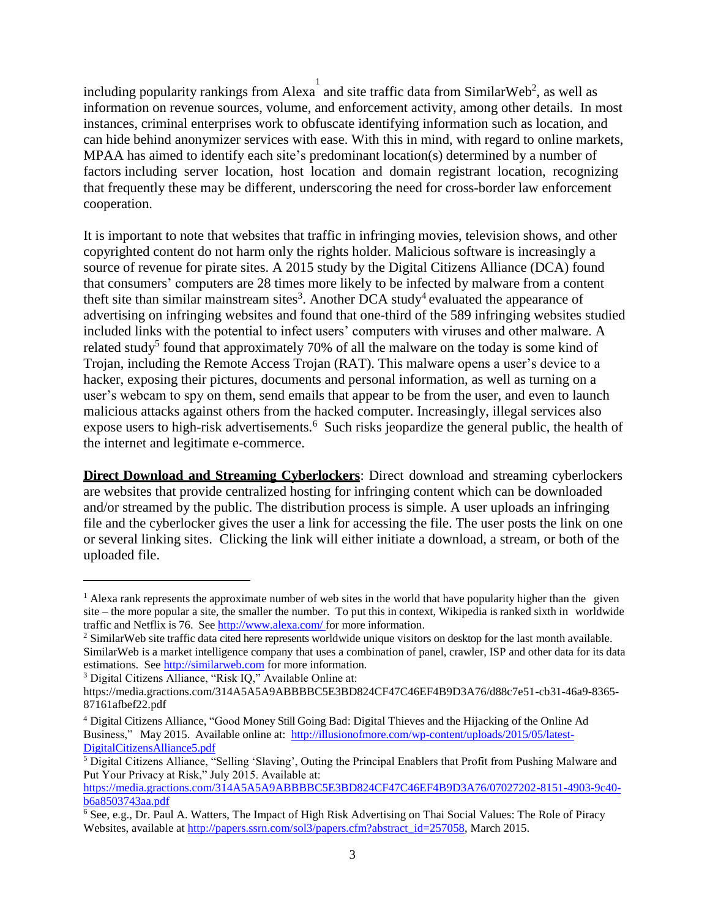including popularity rankings from Alexa  $\frac{1}{4}$  and site traffic data from SimilarWeb<sup>2</sup>, as well as information on revenue sources, volume, and enforcement activity, among other details. In most instances, criminal enterprises work to obfuscate identifying information such as location, and can hide behind anonymizer services with ease. With this in mind, with regard to online markets, MPAA has aimed to identify each site's predominant location(s) determined by a number of factors including server location, host location and domain registrant location, recognizing that frequently these may be different, underscoring the need for cross-border law enforcement cooperation.

It is important to note that websites that traffic in infringing movies, television shows, and other copyrighted content do not harm only the rights holder. Malicious software is increasingly a source of revenue for pirate sites. A 2015 study by the Digital Citizens Alliance (DCA) found that consumers' computers are 28 times more likely to be infected by malware from a content theft site than similar mainstream sites<sup>3</sup>. Another DCA study<sup>4</sup> evaluated the appearance of advertising on infringing websites and found that one-third of the 589 infringing websites studied included links with the potential to infect users' computers with viruses and other malware. A related study<sup>5</sup> found that approximately 70% of all the malware on the today is some kind of Trojan, including the Remote Access Trojan (RAT). This malware opens a user's device to a hacker, exposing their pictures, documents and personal information, as well as turning on a user's webcam to spy on them, send emails that appear to be from the user, and even to launch malicious attacks against others from the hacked computer. Increasingly, illegal services also expose users to high-risk advertisements.<sup>6</sup> Such risks jeopardize the general public, the health of the internet and legitimate e-commerce.

**Direct Download and Streaming Cyberlockers**: Direct download and streaming cyberlockers are websites that provide centralized hosting for infringing content which can be downloaded and/or streamed by the public. The distribution process is simple. A user uploads an infringing file and the cyberlocker gives the user a link for accessing the file. The user posts the link on one or several linking sites. Clicking the link will either initiate a download, a stream, or both of the uploaded file.

 $\overline{\phantom{a}}$ 

<sup>&</sup>lt;sup>1</sup> Alexa rank represents the approximate number of web sites in the world that have popularity higher than the given site – the more popular a site, the smaller the number. To put this in context, Wikipedia is ranked sixth in worldwide traffic and Netflix is 76. See <http://www.alexa.com/> for more information.

<sup>&</sup>lt;sup>2</sup> SimilarWeb site traffic data cited here represents worldwide unique visitors on desktop for the last month available. SimilarWeb is a market intelligence company that uses a combination of panel, crawler, ISP and other data for its data estimations. See [http://similarweb.com](http://similarweb.com/) for more information.

<sup>3</sup> Digital Citizens Alliance, "Risk IQ," Available Online at:

https://media.gractions.com/314A5A5A9ABBBBC5E3BD824CF47C46EF4B9D3A76/d88c7e51-cb31-46a9-8365- 87161afbef22.pdf

<sup>4</sup> Digital Citizens Alliance, "Good Money Still Going Bad: Digital Thieves and the Hijacking of the Online Ad Business," May 2015. Available online at: [http://illusionofmore.com/wp-content/uploads/2015/05/latest-](http://illusionofmore.com/wp-content/uploads/2015/05/latest-DigitalCitizensAlliance5.pdf)[DigitalCitizensAlliance5.pdf](http://illusionofmore.com/wp-content/uploads/2015/05/latest-DigitalCitizensAlliance5.pdf)

<sup>5</sup> Digital Citizens Alliance, "Selling 'Slaving', Outing the Principal Enablers that Profit from Pushing Malware and Put Your Privacy at Risk," July 2015. Available at:

[https://media.gractions.com/314A5A5A9ABBBBC5E3BD824CF47C46EF4B9D3A76/07027202-8151-4903-9c40](https://media.gractions.com/314A5A5A9ABBBBC5E3BD824CF47C46EF4B9D3A76/07027202-8151-4903-9c40-b6a8503743aa.pdf) [b6a8503743aa.pdf](https://media.gractions.com/314A5A5A9ABBBBC5E3BD824CF47C46EF4B9D3A76/07027202-8151-4903-9c40-b6a8503743aa.pdf)

<sup>6</sup> See, e.g., Dr. Paul A. Watters, The Impact of High Risk Advertising on Thai Social Values: The Role of Piracy Websites, available at http://papers.srn.com/sol3/papers.cfm?abstract\_id=257058, March 2015.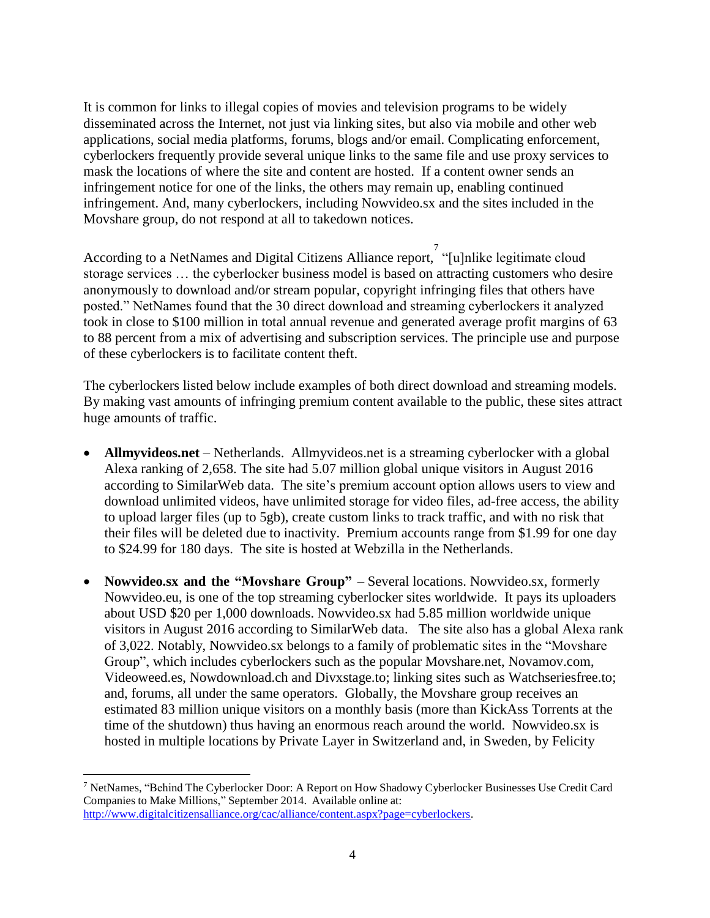It is common for links to illegal copies of movies and television programs to be widely disseminated across the Internet, not just via linking sites, but also via mobile and other web applications, social media platforms, forums, blogs and/or email. Complicating enforcement, cyberlockers frequently provide several unique links to the same file and use proxy services to mask the locations of where the site and content are hosted. If a content owner sends an infringement notice for one of the links, the others may remain up, enabling continued infringement. And, many cyberlockers, including Nowvideo.sx and the sites included in the Movshare group, do not respond at all to takedown notices.

According to a NetNames and Digital Citizens Alliance report, <sup>7</sup> "[u]nlike legitimate cloud storage services … the cyberlocker business model is based on attracting customers who desire anonymously to download and/or stream popular, copyright infringing files that others have posted." NetNames found that the 30 direct download and streaming cyberlockers it analyzed took in close to \$100 million in total annual revenue and generated average profit margins of 63 to 88 percent from a mix of advertising and subscription services. The principle use and purpose of these cyberlockers is to facilitate content theft.

The cyberlockers listed below include examples of both direct download and streaming models. By making vast amounts of infringing premium content available to the public, these sites attract huge amounts of traffic.

- **Allmyvideos.net** Netherlands. Allmyvideos.net is a streaming cyberlocker with a global Alexa ranking of 2,658. The site had 5.07 million global unique visitors in August 2016 according to SimilarWeb data. The site's premium account option allows users to view and download unlimited videos, have unlimited storage for video files, ad-free access, the ability to upload larger files (up to 5gb), create custom links to track traffic, and with no risk that their files will be deleted due to inactivity. Premium accounts range from \$1.99 for one day to \$24.99 for 180 days. The site is hosted at Webzilla in the Netherlands.
- **Nowvideo.sx and the "Movshare Group"** Several locations. Nowvideo.sx, formerly Nowvideo.eu, is one of the top streaming cyberlocker sites worldwide. It pays its uploaders about USD \$20 per 1,000 downloads. Nowvideo.sx had 5.85 million worldwide unique visitors in August 2016 according to SimilarWeb data. The site also has a global Alexa rank of 3,022. Notably, Nowvideo.sx belongs to a family of problematic sites in the "Movshare Group", which includes cyberlockers such as the popular Movshare.net, Novamov.com, Videoweed.es, Nowdownload.ch and Divxstage.to; linking sites such as Watchseriesfree.to; and, forums, all under the same operators. Globally, the Movshare group receives an estimated 83 million unique visitors on a monthly basis (more than KickAss Torrents at the time of the shutdown) thus having an enormous reach around the world. Nowvideo.sx is hosted in multiple locations by Private Layer in Switzerland and, in Sweden, by Felicity

 $\overline{a}$ 

<sup>7</sup> NetNames, "Behind The Cyberlocker Door: A Report on How Shadowy Cyberlocker Businesses Use Credit Card Companies to Make Millions," September 2014. Available online at: [http://www.digitalcitizensalliance.org/cac/alliance/content.aspx?page=cyberlockers.](http://www.digitalcitizensalliance.org/cac/alliance/content.aspx?page=cyberlockers)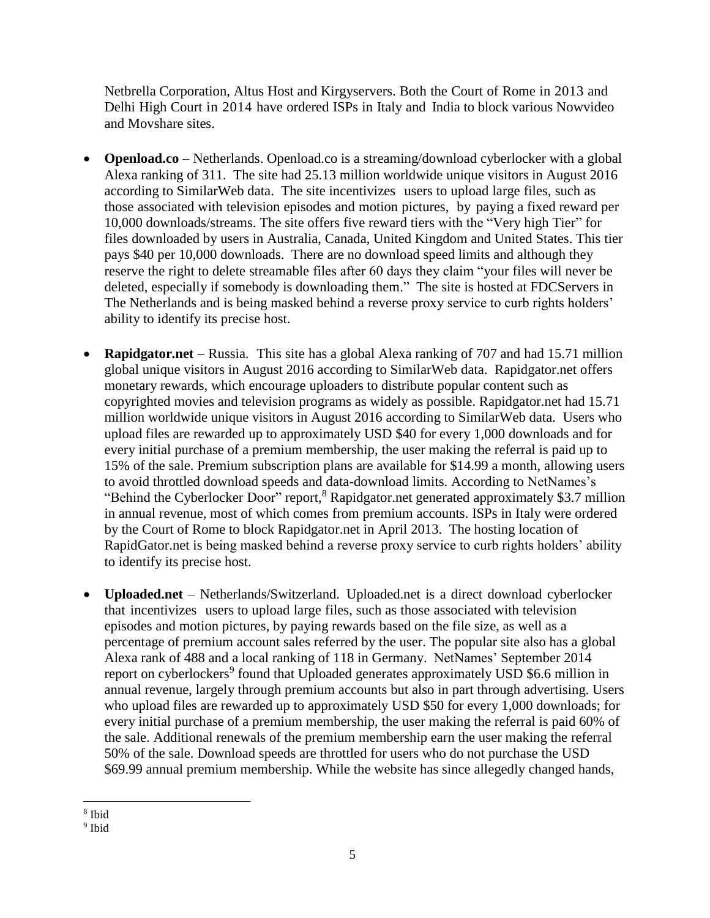Netbrella Corporation, Altus Host and Kirgyservers. Both the Court of Rome in 2013 and Delhi High Court in 2014 have ordered ISPs in Italy and India to block various Nowvideo and Movshare sites.

- **Openload.co** Netherlands. Openload.co is a streaming/download cyberlocker with a global Alexa ranking of 311. The site had 25.13 million worldwide unique visitors in August 2016 according to SimilarWeb data. The site incentivizes users to upload large files, such as those associated with television episodes and motion pictures, by paying a fixed reward per 10,000 downloads/streams. The site offers five reward tiers with the "Very high Tier" for files downloaded by users in Australia, Canada, United Kingdom and United States. This tier pays \$40 per 10,000 downloads. There are no download speed limits and although they reserve the right to delete streamable files after 60 days they claim "your files will never be deleted, especially if somebody is downloading them." The site is hosted at FDCServers in The Netherlands and is being masked behind a reverse proxy service to curb rights holders' ability to identify its precise host.
- **Rapidgator.net** Russia. This site has a global Alexa ranking of 707 and had 15.71 million global unique visitors in August 2016 according to SimilarWeb data. Rapidgator.net offers monetary rewards, which encourage uploaders to distribute popular content such as copyrighted movies and television programs as widely as possible. Rapidgator.net had 15.71 million worldwide unique visitors in August 2016 according to SimilarWeb data. Users who upload files are rewarded up to approximately USD \$40 for every 1,000 downloads and for every initial purchase of a premium membership, the user making the referral is paid up to 15% of the sale. Premium subscription plans are available for \$14.99 a month, allowing users to avoid throttled download speeds and data-download limits. According to NetNames's "Behind the Cyberlocker Door" report,<sup>8</sup> Rapidgator.net generated approximately \$3.7 million in annual revenue, most of which comes from premium accounts. ISPs in Italy were ordered by the Court of Rome to block Rapidgator.net in April 2013. The hosting location of RapidGator.net is being masked behind a reverse proxy service to curb rights holders' ability to identify its precise host.
- **Uploaded.net** Netherlands/Switzerland. Uploaded.net is a direct download cyberlocker that incentivizes users to upload large files, such as those associated with television episodes and motion pictures, by paying rewards based on the file size, as well as a percentage of premium account sales referred by the user. The popular site also has a global Alexa rank of 488 and a local ranking of 118 in Germany. NetNames' September 2014 report on cyberlockers<sup>9</sup> found that Uploaded generates approximately USD \$6.6 million in annual revenue, largely through premium accounts but also in part through advertising. Users who upload files are rewarded up to approximately USD \$50 for every 1,000 downloads; for every initial purchase of a premium membership, the user making the referral is paid 60% of the sale. Additional renewals of the premium membership earn the user making the referral 50% of the sale. Download speeds are throttled for users who do not purchase the USD \$69.99 annual premium membership. While the website has since allegedly changed hands,

 $\overline{\phantom{a}}$ 8 Ibid

<sup>&</sup>lt;sup>9</sup> Ibid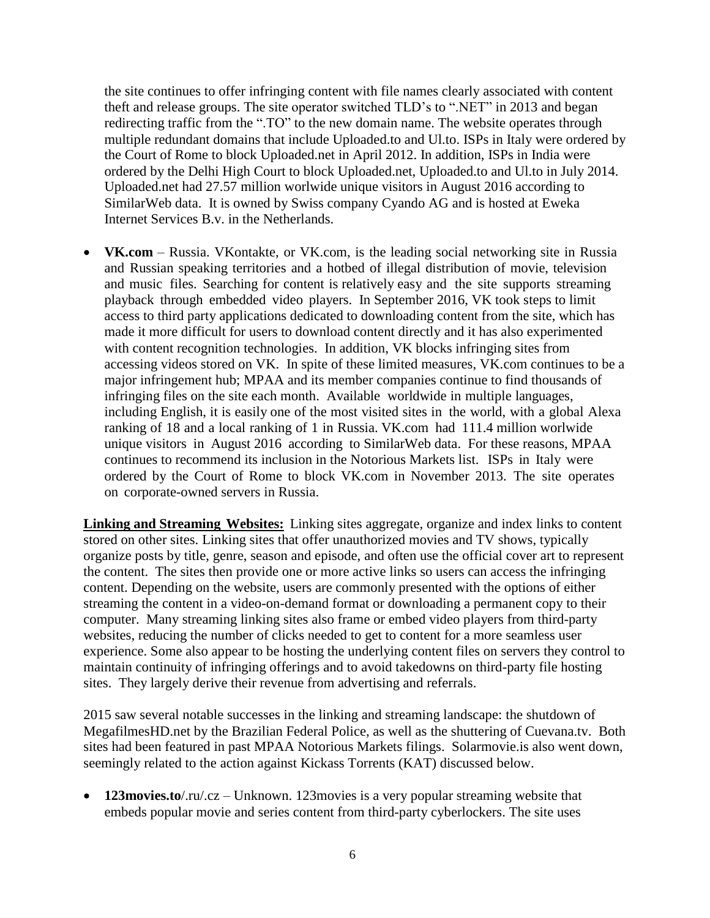the site continues to offer infringing content with file names clearly associated with content theft and release groups. The site operator switched TLD's to ".NET" in 2013 and began redirecting traffic from the ".TO" to the new domain name. The website operates through multiple redundant domains that include Uploaded.to and Ul.to. ISPs in Italy were ordered by the Court of Rome to block Uploaded.net in April 2012. In addition, ISPs in India were ordered by the Delhi High Court to block Uploaded.net, Uploaded.to and Ul.to in July 2014. Uploaded.net had 27.57 million worlwide unique visitors in August 2016 according to SimilarWeb data. It is owned by Swiss company Cyando AG and is hosted at Eweka Internet Services B.v. in the Netherlands.

 **VK.com** – Russia. VKontakte, or VK.com, is the leading social networking site in Russia and Russian speaking territories and a hotbed of illegal distribution of movie, television and music files. Searching for content is relatively easy and the site supports streaming playback through embedded video players. In September 2016, VK took steps to limit access to third party applications dedicated to downloading content from the site, which has made it more difficult for users to download content directly and it has also experimented with content recognition technologies. In addition, VK blocks infringing sites from accessing videos stored on VK. In spite of these limited measures, VK.com continues to be a major infringement hub; MPAA and its member companies continue to find thousands of infringing files on the site each month. Available worldwide in multiple languages, including English, it is easily one of the most visited sites in the world, with a global Alexa ranking of 18 and a local ranking of 1 in Russia. VK.com had 111.4 million worlwide unique visitors in August 2016 according to SimilarWeb data. For these reasons, MPAA continues to recommend its inclusion in the Notorious Markets list. ISPs in Italy were ordered by the Court of Rome to block VK.com in November 2013. The site operates on corporate-owned servers in Russia.

**Linking and Streaming Websites:** Linking sites aggregate, organize and index links to content stored on other sites. Linking sites that offer unauthorized movies and TV shows, typically organize posts by title, genre, season and episode, and often use the official cover art to represent the content. The sites then provide one or more active links so users can access the infringing content. Depending on the website, users are commonly presented with the options of either streaming the content in a video-on-demand format or downloading a permanent copy to their computer. Many streaming linking sites also frame or embed video players from third-party websites, reducing the number of clicks needed to get to content for a more seamless user experience. Some also appear to be hosting the underlying content files on servers they control to maintain continuity of infringing offerings and to avoid takedowns on third-party file hosting sites. They largely derive their revenue from advertising and referrals.

2015 saw several notable successes in the linking and streaming landscape: the shutdown of MegafilmesHD.net by the Brazilian Federal Police, as well as the shuttering of Cuevana.tv. Both sites had been featured in past MPAA Notorious Markets filings. Solarmovie.is also went down, seemingly related to the action against Kickass Torrents (KAT) discussed below.

 **123movies.to**/.ru/.cz – Unknown. 123movies is a very popular streaming website that embeds popular movie and series content from third-party cyberlockers. The site uses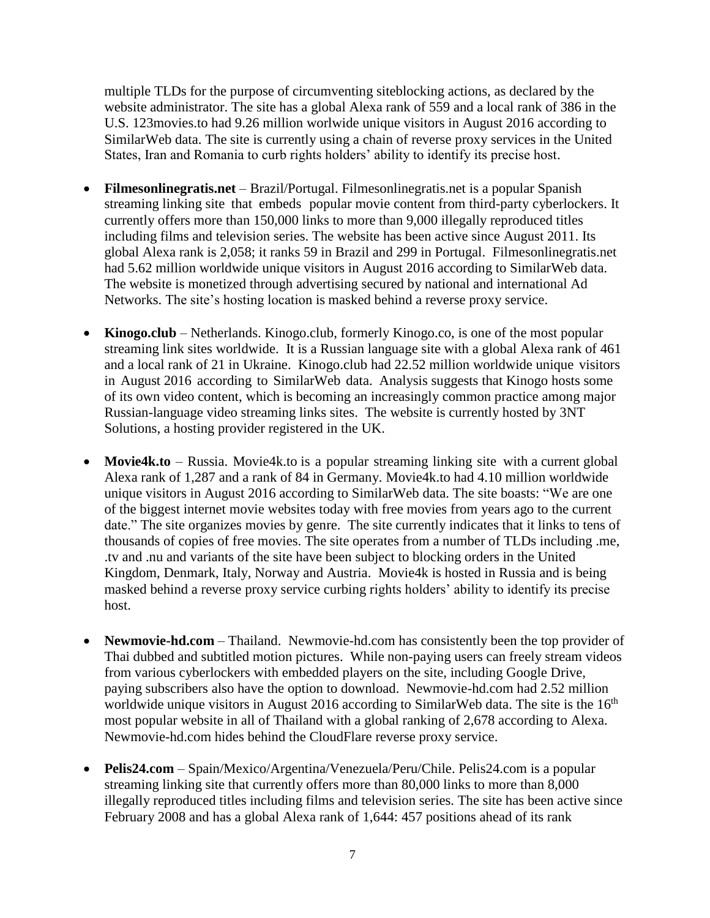multiple TLDs for the purpose of circumventing siteblocking actions, as declared by the website administrator. The site has a global Alexa rank of 559 and a local rank of 386 in the U.S. 123movies.to had 9.26 million worlwide unique visitors in August 2016 according to SimilarWeb data. The site is currently using a chain of reverse proxy services in the United States, Iran and Romania to curb rights holders' ability to identify its precise host.

- **Filmesonlinegratis.net** Brazil/Portugal. Filmesonlinegratis.net is a popular Spanish streaming linking site that embeds popular movie content from third-party cyberlockers. It currently offers more than 150,000 links to more than 9,000 illegally reproduced titles including films and television series. The website has been active since August 2011. Its global Alexa rank is 2,058; it ranks 59 in Brazil and 299 in Portugal. Filmesonlinegratis.net had 5.62 million worldwide unique visitors in August 2016 according to SimilarWeb data. The website is monetized through advertising secured by national and international Ad Networks. The site's hosting location is masked behind a reverse proxy service.
- Kinogo.club Netherlands. Kinogo.club, formerly Kinogo.co, is one of the most popular streaming link sites worldwide. It is a Russian language site with a global Alexa rank of 461 and a local rank of 21 in Ukraine. Kinogo.club had 22.52 million worldwide unique visitors in August 2016 according to SimilarWeb data. Analysis suggests that Kinogo hosts some of its own video content, which is becoming an increasingly common practice among major Russian-language video streaming links sites. The website is currently hosted by 3NT Solutions, a hosting provider registered in the UK.
- **Movie4k.to** Russia. Movie4k.to is a popular streaming linking site with a current global Alexa rank of 1,287 and a rank of 84 in Germany. Movie4k.to had 4.10 million worldwide unique visitors in August 2016 according to SimilarWeb data. The site boasts: "We are one of the biggest internet movie websites today with free movies from years ago to the current date." The site organizes movies by genre. The site currently indicates that it links to tens of thousands of copies of free movies. The site operates from a number of TLDs including .me, .tv and .nu and variants of the site have been subject to blocking orders in the United Kingdom, Denmark, Italy, Norway and Austria. Movie4k is hosted in Russia and is being masked behind a reverse proxy service curbing rights holders' ability to identify its precise host.
- **Newmovie-hd.com** Thailand. Newmovie-hd.com has consistently been the top provider of Thai dubbed and subtitled motion pictures. While non-paying users can freely stream videos from various cyberlockers with embedded players on the site, including Google Drive, paying subscribers also have the option to download. Newmovie-hd.com had 2.52 million worldwide unique visitors in August 2016 according to SimilarWeb data. The site is the  $16<sup>th</sup>$ most popular website in all of Thailand with a global ranking of 2,678 according to Alexa. Newmovie-hd.com hides behind the CloudFlare reverse proxy service.
- **Pelis24.com** Spain/Mexico/Argentina/Venezuela/Peru/Chile. Pelis24.com is a popular streaming linking site that currently offers more than 80,000 links to more than 8,000 illegally reproduced titles including films and television series. The site has been active since February 2008 and has a global Alexa rank of 1,644: 457 positions ahead of its rank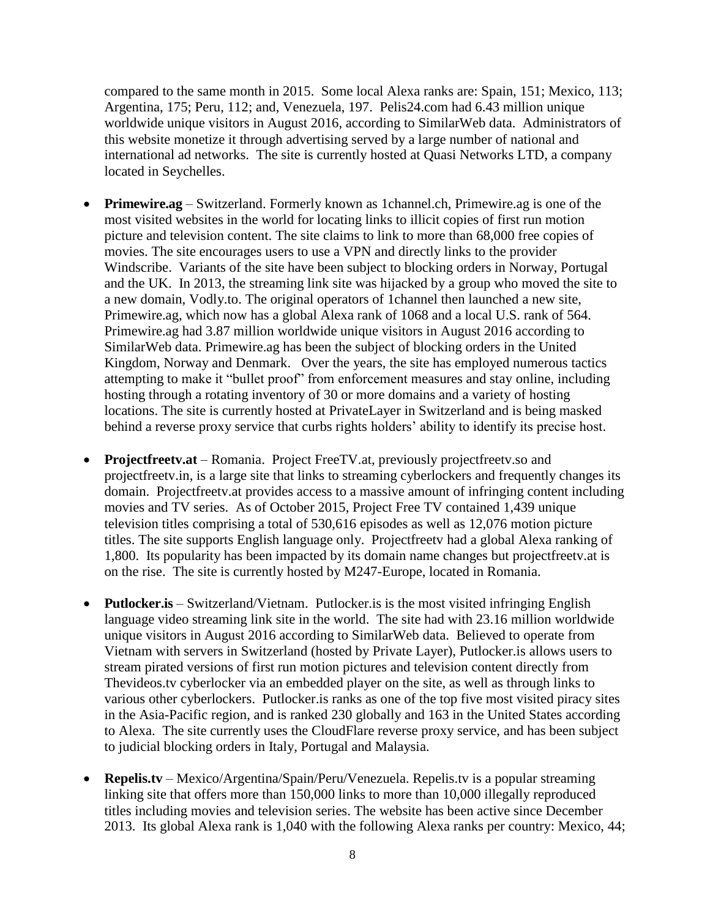compared to the same month in 2015. Some local Alexa ranks are: Spain, 151; Mexico, 113; Argentina, 175; Peru, 112; and, Venezuela, 197. Pelis24.com had 6.43 million unique worldwide unique visitors in August 2016, according to SimilarWeb data. Administrators of this website monetize it through advertising served by a large number of national and international ad networks. The site is currently hosted at Quasi Networks LTD, a company located in Seychelles.

- **Primewire.ag** Switzerland. Formerly known as 1channel.ch, Primewire.ag is one of the most visited websites in the world for locating links to illicit copies of first run motion picture and television content. The site claims to link to more than 68,000 free copies of movies. The site encourages users to use a VPN and directly links to the provider Windscribe. Variants of the site have been subject to blocking orders in Norway, Portugal and the UK. In 2013, the streaming link site was hijacked by a group who moved the site to a new domain, Vodly.to. The original operators of 1channel then launched a new site, Primewire.ag, which now has a global Alexa rank of 1068 and a local U.S. rank of 564. Primewire.ag had 3.87 million worldwide unique visitors in August 2016 according to SimilarWeb data. Primewire.ag has been the subject of blocking orders in the United Kingdom, Norway and Denmark. Over the years, the site has employed numerous tactics attempting to make it "bullet proof" from enforcement measures and stay online, including hosting through a rotating inventory of 30 or more domains and a variety of hosting locations. The site is currently hosted at PrivateLayer in Switzerland and is being masked behind a reverse proxy service that curbs rights holders' ability to identify its precise host.
- **Projectfreetv.at** Romania. Project FreeTV.at, previously projectfreetv.so and projectfreetv.in, is a large site that links to streaming cyberlockers and frequently changes its domain. Projectfreetv.at provides access to a massive amount of infringing content including movies and TV series. As of October 2015, Project Free TV contained 1,439 unique television titles comprising a total of 530,616 episodes as well as 12,076 motion picture titles. The site supports English language only. Projectfreetv had a global Alexa ranking of 1,800. Its popularity has been impacted by its domain name changes but projectfreetv.at is on the rise. The site is currently hosted by M247-Europe, located in Romania.
- **Putlocker.is** Switzerland/Vietnam. Putlocker.is is the most visited infringing English language video streaming link site in the world. The site had with 23.16 million worldwide unique visitors in August 2016 according to SimilarWeb data. Believed to operate from Vietnam with servers in Switzerland (hosted by Private Layer), Putlocker.is allows users to stream pirated versions of first run motion pictures and television content directly from Thevideos.tv cyberlocker via an embedded player on the site, as well as through links to various other cyberlockers. Putlocker.is ranks as one of the top five most visited piracy sites in the Asia-Pacific region, and is ranked 230 globally and 163 in the United States according to Alexa. The site currently uses the CloudFlare reverse proxy service, and has been subject to judicial blocking orders in Italy, Portugal and Malaysia.
- **Repelis.tv** Mexico/Argentina/Spain/Peru/Venezuela. Repelis.tv is a popular streaming linking site that offers more than 150,000 links to more than 10,000 illegally reproduced titles including movies and television series. The website has been active since December 2013. Its global Alexa rank is 1,040 with the following Alexa ranks per country: Mexico, 44;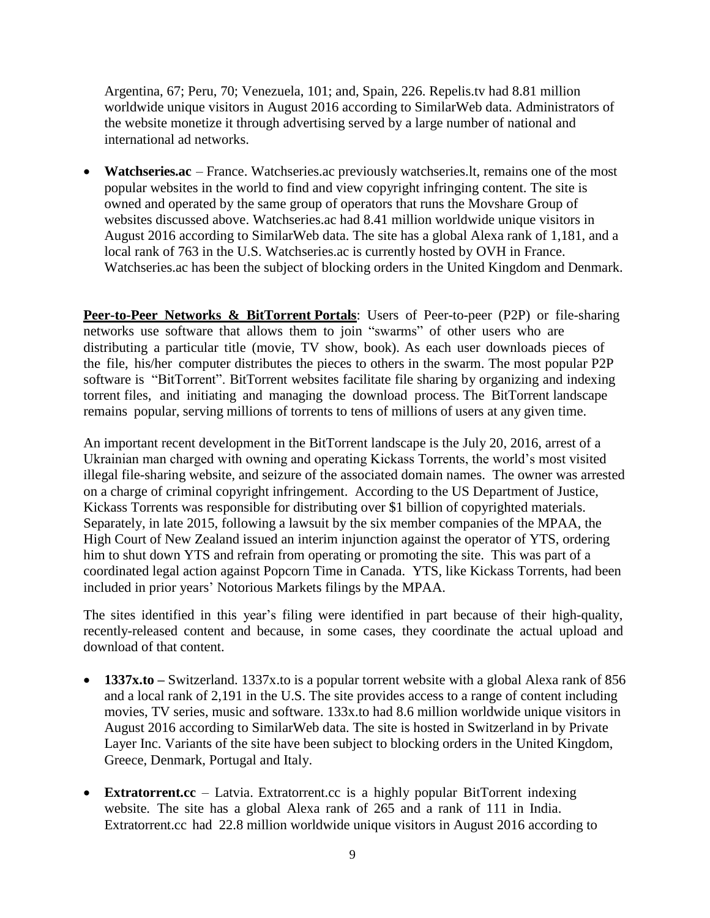Argentina, 67; Peru, 70; Venezuela, 101; and, Spain, 226. Repelis.tv had 8.81 million worldwide unique visitors in August 2016 according to SimilarWeb data. Administrators of the website monetize it through advertising served by a large number of national and international ad networks.

 **Watchseries.ac** – France. Watchseries.ac previously watchseries.lt, remains one of the most popular websites in the world to find and view copyright infringing content. The site is owned and operated by the same group of operators that runs the Movshare Group of websites discussed above. Watchseries.ac had 8.41 million worldwide unique visitors in August 2016 according to SimilarWeb data. The site has a global Alexa rank of 1,181, and a local rank of 763 in the U.S. Watchseries.ac is currently hosted by OVH in France. Watchseries.ac has been the subject of blocking orders in the United Kingdom and Denmark.

**Peer-to-Peer Networks & BitTorrent Portals**: Users of Peer-to-peer (P2P) or file-sharing networks use software that allows them to join "swarms" of other users who are distributing a particular title (movie, TV show, book). As each user downloads pieces of the file, his/her computer distributes the pieces to others in the swarm. The most popular P2P software is "BitTorrent". BitTorrent websites facilitate file sharing by organizing and indexing torrent files, and initiating and managing the download process. The BitTorrent landscape remains popular, serving millions of torrents to tens of millions of users at any given time.

An important recent development in the BitTorrent landscape is the July 20, 2016, arrest of a Ukrainian man charged with owning and operating Kickass Torrents, the world's most visited illegal file-sharing website, and seizure of the associated domain names. The owner was arrested on a charge of criminal copyright infringement. According to the US Department of Justice, Kickass Torrents was responsible for distributing over \$1 billion of copyrighted materials. Separately, in late 2015, following a lawsuit by the six member companies of the MPAA, the High Court of New Zealand issued an interim injunction against the operator of YTS, ordering him to shut down YTS and refrain from operating or promoting the site. This was part of a coordinated legal action against Popcorn Time in Canada. YTS, like Kickass Torrents, had been included in prior years' Notorious Markets filings by the MPAA.

The sites identified in this year's filing were identified in part because of their high-quality, recently-released content and because, in some cases, they coordinate the actual upload and download of that content.

- **1337x.to –** Switzerland. 1337x.to is a popular torrent website with a global Alexa rank of 856 and a local rank of 2,191 in the U.S. The site provides access to a range of content including movies, TV series, music and software. 133x.to had 8.6 million worldwide unique visitors in August 2016 according to SimilarWeb data. The site is hosted in Switzerland in by Private Layer Inc. Variants of the site have been subject to blocking orders in the United Kingdom, Greece, Denmark, Portugal and Italy.
- **Extratorrent.cc** Latvia. Extratorrent.cc is a highly popular BitTorrent indexing website. The site has a global Alexa rank of 265 and a rank of 111 in India. Extratorrent.cc had 22.8 million worldwide unique visitors in August 2016 according to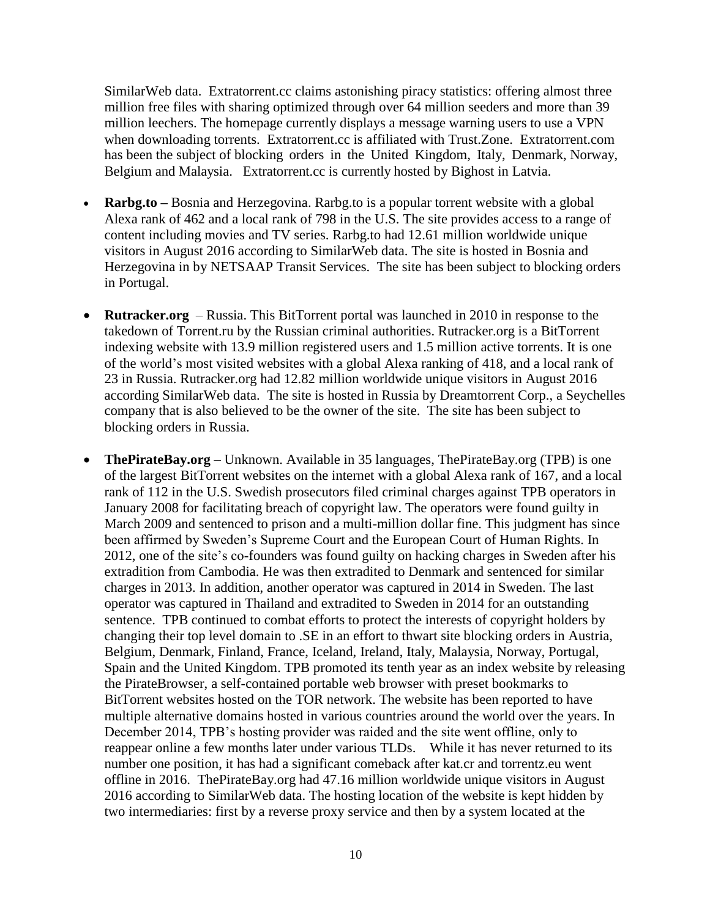SimilarWeb data. Extratorrent.cc claims astonishing piracy statistics: offering almost three million free files with sharing optimized through over 64 million seeders and more than 39 million leechers. The homepage currently displays a message warning users to use a VPN when downloading torrents. Extratorrent.cc is affiliated with Trust.Zone. Extratorrent.com has been the subject of blocking orders in the United Kingdom, Italy, Denmark, Norway, Belgium and Malaysia. Extratorrent.cc is currently hosted by Bighost in Latvia.

- **Rarbg.to –** Bosnia and Herzegovina. Rarbg.to is a popular torrent website with a global Alexa rank of 462 and a local rank of 798 in the U.S. The site provides access to a range of content including movies and TV series. Rarbg.to had 12.61 million worldwide unique visitors in August 2016 according to SimilarWeb data. The site is hosted in Bosnia and Herzegovina in by NETSAAP Transit Services. The site has been subject to blocking orders in Portugal.
- **Rutracker.org** Russia. This BitTorrent portal was launched in 2010 in response to the takedown of Torrent.ru by the Russian criminal authorities. Rutracker.org is a BitTorrent indexing website with 13.9 million registered users and 1.5 million active torrents. It is one of the world's most visited websites with a global Alexa ranking of 418, and a local rank of 23 in Russia. Rutracker.org had 12.82 million worldwide unique visitors in August 2016 according SimilarWeb data. The site is hosted in Russia by Dreamtorrent Corp., a Seychelles company that is also believed to be the owner of the site. The site has been subject to blocking orders in Russia.
- **ThePirateBay.org** Unknown. Available in 35 languages, ThePirateBay.org (TPB) is one of the largest BitTorrent websites on the internet with a global Alexa rank of 167, and a local rank of 112 in the U.S. Swedish prosecutors filed criminal charges against TPB operators in January 2008 for facilitating breach of copyright law. The operators were found guilty in March 2009 and sentenced to prison and a multi-million dollar fine. This judgment has since been affirmed by Sweden's Supreme Court and the European Court of Human Rights. In 2012, one of the site's co-founders was found guilty on hacking charges in Sweden after his extradition from Cambodia. He was then extradited to Denmark and sentenced for similar charges in 2013. In addition, another operator was captured in 2014 in Sweden. The last operator was captured in Thailand and extradited to Sweden in 2014 for an outstanding sentence. TPB continued to combat efforts to protect the interests of copyright holders by changing their top level domain to .SE in an effort to thwart site blocking orders in Austria, Belgium, Denmark, Finland, France, Iceland, Ireland, Italy, Malaysia, Norway, Portugal, Spain and the United Kingdom. TPB promoted its tenth year as an index website by releasing the PirateBrowser, a self-contained portable web browser with preset bookmarks to BitTorrent websites hosted on the TOR network. The website has been reported to have multiple alternative domains hosted in various countries around the world over the years. In December 2014, TPB's hosting provider was raided and the site went offline, only to reappear online a few months later under various TLDs. While it has never returned to its number one position, it has had a significant comeback after kat.cr and torrentz.eu went offline in 2016. ThePirateBay.org had 47.16 million worldwide unique visitors in August 2016 according to SimilarWeb data. The hosting location of the website is kept hidden by two intermediaries: first by a reverse proxy service and then by a system located at the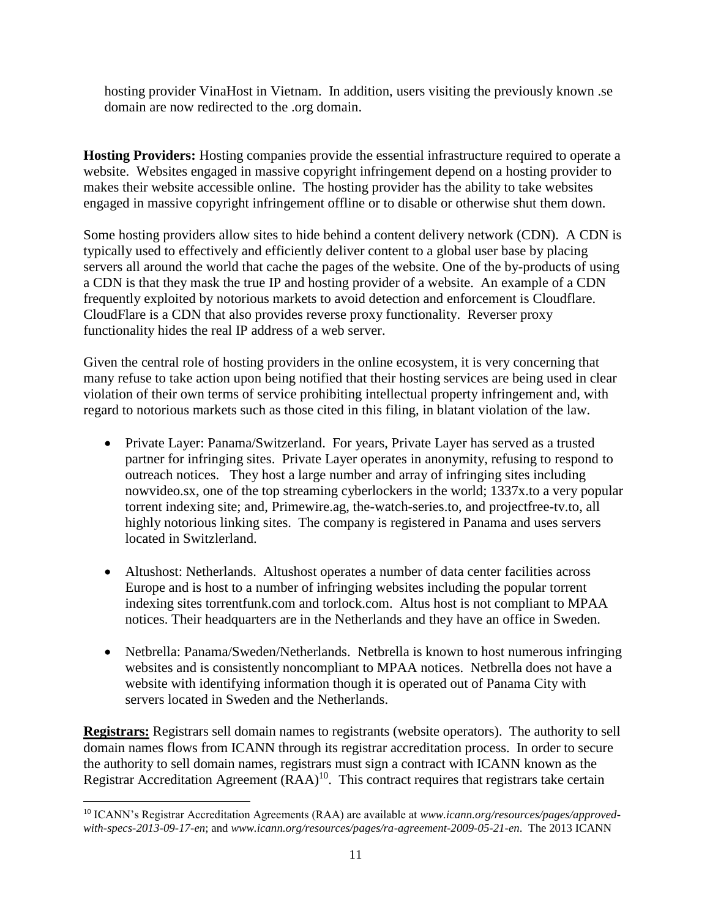hosting provider VinaHost in Vietnam. In addition, users visiting the previously known .se domain are now redirected to the .org domain.

**Hosting Providers:** Hosting companies provide the essential infrastructure required to operate a website. Websites engaged in massive copyright infringement depend on a hosting provider to makes their website accessible online. The hosting provider has the ability to take websites engaged in massive copyright infringement offline or to disable or otherwise shut them down.

Some hosting providers allow sites to hide behind a content delivery network (CDN). A CDN is typically used to effectively and efficiently deliver content to a global user base by placing servers all around the world that cache the pages of the website. One of the by-products of using a CDN is that they mask the true IP and hosting provider of a website. An example of a CDN frequently exploited by notorious markets to avoid detection and enforcement is Cloudflare. CloudFlare is a CDN that also provides reverse proxy functionality. Reverser proxy functionality hides the real IP address of a web server.

Given the central role of hosting providers in the online ecosystem, it is very concerning that many refuse to take action upon being notified that their hosting services are being used in clear violation of their own terms of service prohibiting intellectual property infringement and, with regard to notorious markets such as those cited in this filing, in blatant violation of the law.

- Private Layer: Panama/Switzerland. For years, Private Layer has served as a trusted partner for infringing sites. Private Layer operates in anonymity, refusing to respond to outreach notices. They host a large number and array of infringing sites including nowvideo.sx, one of the top streaming cyberlockers in the world; 1337x.to a very popular torrent indexing site; and, Primewire.ag, the-watch-series.to, and projectfree-tv.to, all highly notorious linking sites. The company is registered in Panama and uses servers located in Switzlerland.
- Altushost: Netherlands. Altushost operates a number of data center facilities across Europe and is host to a number of infringing websites including the popular torrent indexing sites torrentfunk.com and torlock.com. Altus host is not compliant to MPAA notices. Their headquarters are in the Netherlands and they have an office in Sweden.
- Netbrella: Panama/Sweden/Netherlands. Netbrella is known to host numerous infringing websites and is consistently noncompliant to MPAA notices. Netbrella does not have a website with identifying information though it is operated out of Panama City with servers located in Sweden and the Netherlands.

**Registrars:** Registrars sell domain names to registrants (website operators). The authority to sell domain names flows from ICANN through its registrar accreditation process. In order to secure the authority to sell domain names, registrars must sign a contract with ICANN known as the Registrar Accreditation Agreement (RAA)<sup>10</sup>. This contract requires that registrars take certain

 $\overline{\phantom{a}}$ <sup>10</sup> ICANN's Registrar Accreditation Agreements (RAA) are available at *www.icann.org/resources/pages/approvedwith-specs-2013-09-17-en*; and *www.icann.org/resources/pages/ra-agreement-2009-05-21-en*. The 2013 ICANN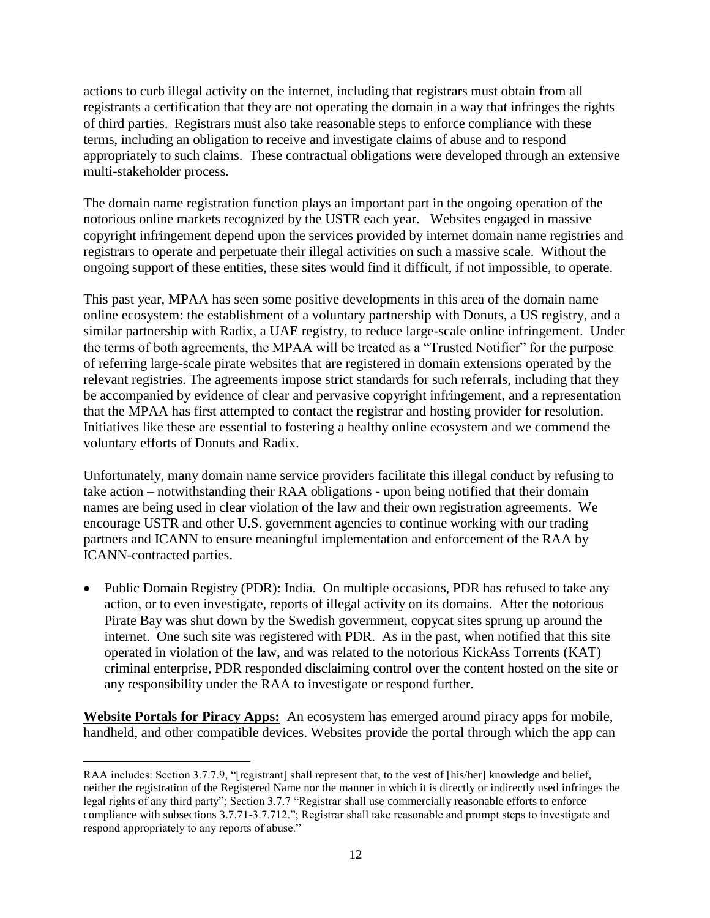actions to curb illegal activity on the internet, including that registrars must obtain from all registrants a certification that they are not operating the domain in a way that infringes the rights of third parties. Registrars must also take reasonable steps to enforce compliance with these terms, including an obligation to receive and investigate claims of abuse and to respond appropriately to such claims. These contractual obligations were developed through an extensive multi-stakeholder process.

The domain name registration function plays an important part in the ongoing operation of the notorious online markets recognized by the USTR each year. Websites engaged in massive copyright infringement depend upon the services provided by internet domain name registries and registrars to operate and perpetuate their illegal activities on such a massive scale. Without the ongoing support of these entities, these sites would find it difficult, if not impossible, to operate.

This past year, MPAA has seen some positive developments in this area of the domain name online ecosystem: the establishment of a voluntary partnership with Donuts, a US registry, and a similar partnership with Radix, a UAE registry, to reduce large-scale online infringement. Under the terms of both agreements, the MPAA will be treated as a "Trusted Notifier" for the purpose of referring large-scale pirate websites that are registered in domain extensions operated by the relevant registries. The agreements impose strict standards for such referrals, including that they be accompanied by evidence of clear and pervasive copyright infringement, and a representation that the MPAA has first attempted to contact the registrar and hosting provider for resolution. Initiatives like these are essential to fostering a healthy online ecosystem and we commend the voluntary efforts of Donuts and Radix.

Unfortunately, many domain name service providers facilitate this illegal conduct by refusing to take action – notwithstanding their RAA obligations - upon being notified that their domain names are being used in clear violation of the law and their own registration agreements. We encourage USTR and other U.S. government agencies to continue working with our trading partners and ICANN to ensure meaningful implementation and enforcement of the RAA by ICANN-contracted parties.

• Public Domain Registry (PDR): India. On multiple occasions, PDR has refused to take any action, or to even investigate, reports of illegal activity on its domains. After the notorious Pirate Bay was shut down by the Swedish government, copycat sites sprung up around the internet. One such site was registered with PDR. As in the past, when notified that this site operated in violation of the law, and was related to the notorious KickAss Torrents (KAT) criminal enterprise, PDR responded disclaiming control over the content hosted on the site or any responsibility under the RAA to investigate or respond further.

**Website Portals for Piracy Apps:** An ecosystem has emerged around piracy apps for mobile, handheld, and other compatible devices. Websites provide the portal through which the app can

 $\overline{a}$ 

RAA includes: Section 3.7.7.9, "[registrant] shall represent that, to the vest of [his/her] knowledge and belief, neither the registration of the Registered Name nor the manner in which it is directly or indirectly used infringes the legal rights of any third party"; Section 3.7.7 "Registrar shall use commercially reasonable efforts to enforce compliance with subsections 3.7.71-3.7.712."; Registrar shall take reasonable and prompt steps to investigate and respond appropriately to any reports of abuse."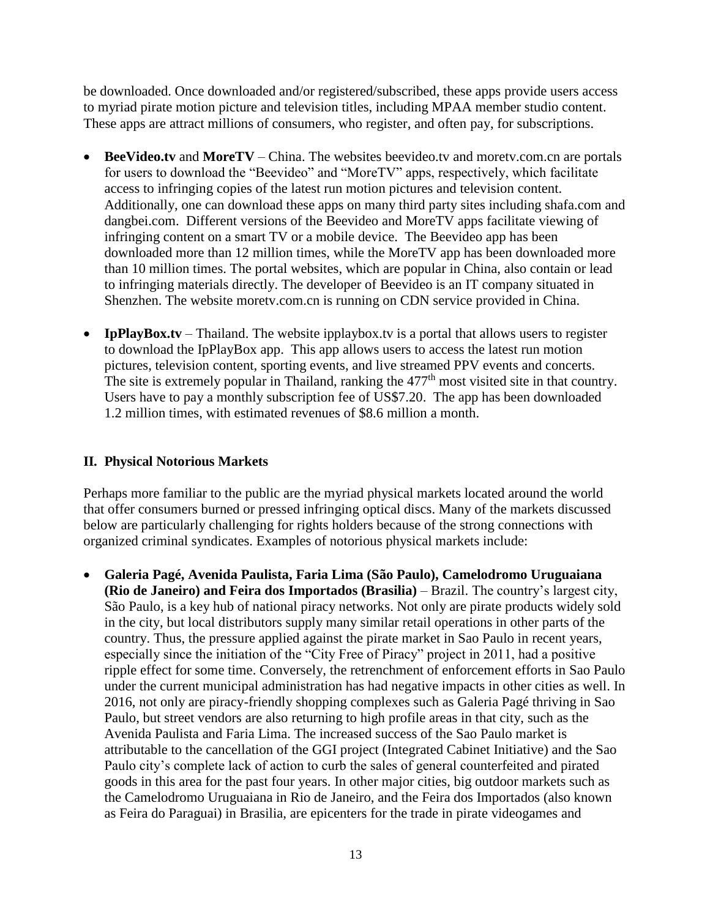be downloaded. Once downloaded and/or registered/subscribed, these apps provide users access to myriad pirate motion picture and television titles, including MPAA member studio content. These apps are attract millions of consumers, who register, and often pay, for subscriptions.

- **BeeVideo.tv** and **MoreTV** China. The websites beevideo.tv and moretv.com.cn are portals for users to download the "Beevideo" and "MoreTV" apps, respectively, which facilitate access to infringing copies of the latest run motion pictures and television content. Additionally, one can download these apps on many third party sites including shafa.com and dangbei.com. Different versions of the Beevideo and MoreTV apps facilitate viewing of infringing content on a smart TV or a mobile device. The Beevideo app has been downloaded more than 12 million times, while the MoreTV app has been downloaded more than 10 million times. The portal websites, which are popular in China, also contain or lead to infringing materials directly. The developer of Beevideo is an IT company situated in Shenzhen. The website moretv.com.cn is running on CDN service provided in China.
- **IpPlayBox.tv** Thailand. The website ipplaybox.tv is a portal that allows users to register to download the IpPlayBox app. This app allows users to access the latest run motion pictures, television content, sporting events, and live streamed PPV events and concerts. The site is extremely popular in Thailand, ranking the 477<sup>th</sup> most visited site in that country. Users have to pay a monthly subscription fee of US\$7.20. The app has been downloaded 1.2 million times, with estimated revenues of \$8.6 million a month.

## **II. Physical Notorious Markets**

Perhaps more familiar to the public are the myriad physical markets located around the world that offer consumers burned or pressed infringing optical discs. Many of the markets discussed below are particularly challenging for rights holders because of the strong connections with organized criminal syndicates. Examples of notorious physical markets include:

 **Galeria Pagé, Avenida Paulista, Faria Lima (São Paulo), Camelodromo Uruguaiana (Rio de Janeiro) and Feira dos Importados (Brasilia)** – Brazil. The country's largest city, São Paulo, is a key hub of national piracy networks. Not only are pirate products widely sold in the city, but local distributors supply many similar retail operations in other parts of the country. Thus, the pressure applied against the pirate market in Sao Paulo in recent years, especially since the initiation of the "City Free of Piracy" project in 2011, had a positive ripple effect for some time. Conversely, the retrenchment of enforcement efforts in Sao Paulo under the current municipal administration has had negative impacts in other cities as well. In 2016, not only are piracy-friendly shopping complexes such as Galeria Pagé thriving in Sao Paulo, but street vendors are also returning to high profile areas in that city, such as the Avenida Paulista and Faria Lima. The increased success of the Sao Paulo market is attributable to the cancellation of the GGI project (Integrated Cabinet Initiative) and the Sao Paulo city's complete lack of action to curb the sales of general counterfeited and pirated goods in this area for the past four years. In other major cities, big outdoor markets such as the Camelodromo Uruguaiana in Rio de Janeiro, and the Feira dos Importados (also known as Feira do Paraguai) in Brasilia, are epicenters for the trade in pirate videogames and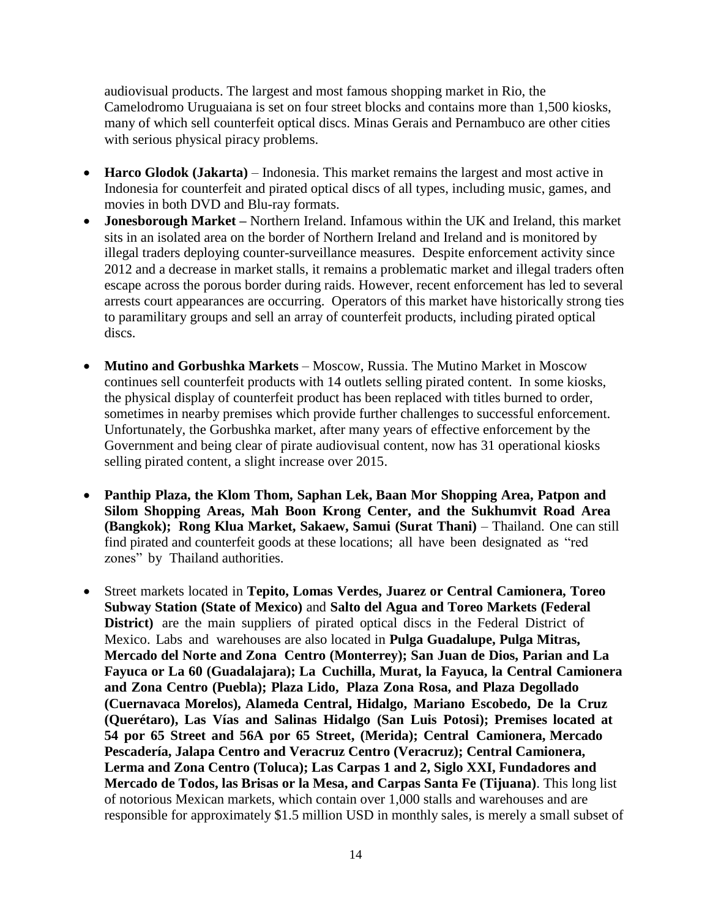audiovisual products. The largest and most famous shopping market in Rio, the Camelodromo Uruguaiana is set on four street blocks and contains more than 1,500 kiosks, many of which sell counterfeit optical discs. Minas Gerais and Pernambuco are other cities with serious physical piracy problems.

- Harco Glodok (Jakarta) Indonesia. This market remains the largest and most active in Indonesia for counterfeit and pirated optical discs of all types, including music, games, and movies in both DVD and Blu-ray formats.
- **Jonesborough Market –** Northern Ireland. Infamous within the UK and Ireland, this market sits in an isolated area on the border of Northern Ireland and Ireland and is monitored by illegal traders deploying counter-surveillance measures. Despite enforcement activity since 2012 and a decrease in market stalls, it remains a problematic market and illegal traders often escape across the porous border during raids. However, recent enforcement has led to several arrests court appearances are occurring. Operators of this market have historically strong ties to paramilitary groups and sell an array of counterfeit products, including pirated optical discs.
- **Mutino and Gorbushka Markets** Moscow, Russia. The Mutino Market in Moscow continues sell counterfeit products with 14 outlets selling pirated content. In some kiosks, the physical display of counterfeit product has been replaced with titles burned to order, sometimes in nearby premises which provide further challenges to successful enforcement. Unfortunately, the Gorbushka market, after many years of effective enforcement by the Government and being clear of pirate audiovisual content, now has 31 operational kiosks selling pirated content, a slight increase over 2015.
- **Panthip Plaza, the Klom Thom, Saphan Lek, Baan Mor Shopping Area, Patpon and Silom Shopping Areas, Mah Boon Krong Center, and the Sukhumvit Road Area (Bangkok); Rong Klua Market, Sakaew, Samui (Surat Thani)** – Thailand. One can still find pirated and counterfeit goods at these locations; all have been designated as "red zones" by Thailand authorities.
- Street markets located in **Tepito, Lomas Verdes, Juarez or Central Camionera, Toreo Subway Station (State of Mexico)** and **Salto del Agua and Toreo Markets (Federal District)** are the main suppliers of pirated optical discs in the Federal District of Mexico. Labs and warehouses are also located in **Pulga Guadalupe, Pulga Mitras, Mercado del Norte and Zona Centro (Monterrey); San Juan de Dios, Parian and La Fayuca or La 60 (Guadalajara); La Cuchilla, Murat, la Fayuca, la Central Camionera and Zona Centro (Puebla); Plaza Lido, Plaza Zona Rosa, and Plaza Degollado (Cuernavaca Morelos), Alameda Central, Hidalgo, Mariano Escobedo, De la Cruz (Querétaro), Las Vías and Salinas Hidalgo (San Luis Potosi); Premises located at 54 por 65 Street and 56A por 65 Street, (Merida); Central Camionera, Mercado Pescadería, Jalapa Centro and Veracruz Centro (Veracruz); Central Camionera, Lerma and Zona Centro (Toluca); Las Carpas 1 and 2, Siglo XXI, Fundadores and Mercado de Todos, las Brisas or la Mesa, and Carpas Santa Fe (Tijuana)**. This long list of notorious Mexican markets, which contain over 1,000 stalls and warehouses and are responsible for approximately \$1.5 million USD in monthly sales, is merely a small subset of